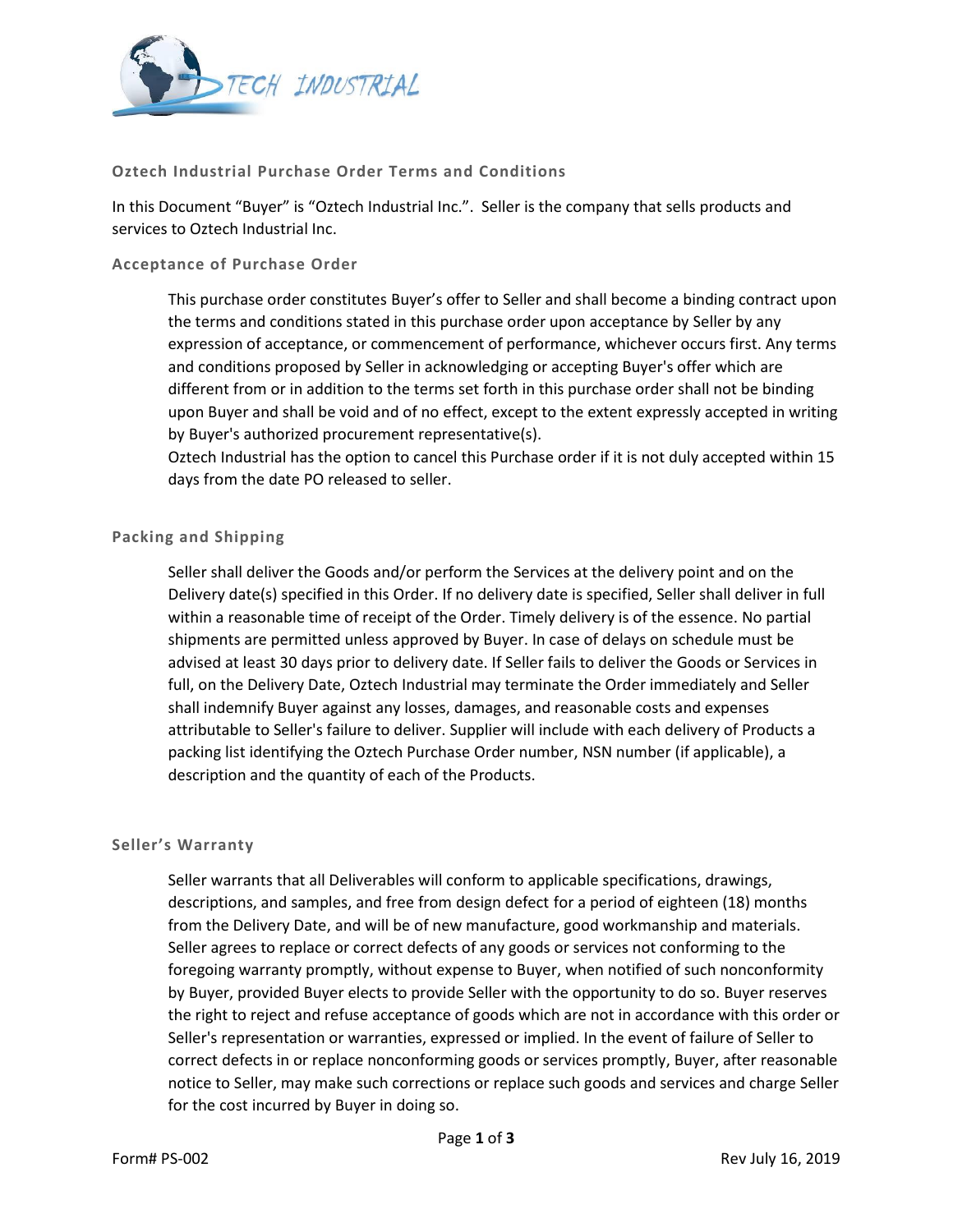

# **Oztech Industrial Purchase Order Terms and Conditions**

In this Document "Buyer" is "Oztech Industrial Inc.". Seller is the company that sells products and services to Oztech Industrial Inc.

### **Acceptance of Purchase Order**

This purchase order constitutes Buyer's offer to Seller and shall become a binding contract upon the terms and conditions stated in this purchase order upon acceptance by Seller by any expression of acceptance, or commencement of performance, whichever occurs first. Any terms and conditions proposed by Seller in acknowledging or accepting Buyer's offer which are different from or in addition to the terms set forth in this purchase order shall not be binding upon Buyer and shall be void and of no effect, except to the extent expressly accepted in writing by Buyer's authorized procurement representative(s).

Oztech Industrial has the option to cancel this Purchase order if it is not duly accepted within 15 days from the date PO released to seller.

# **Packing and Shipping**

Seller shall deliver the Goods and/or perform the Services at the delivery point and on the Delivery date(s) specified in this Order. If no delivery date is specified, Seller shall deliver in full within a reasonable time of receipt of the Order. Timely delivery is of the essence. No partial shipments are permitted unless approved by Buyer. In case of delays on schedule must be advised at least 30 days prior to delivery date. If Seller fails to deliver the Goods or Services in full, on the Delivery Date, Oztech Industrial may terminate the Order immediately and Seller shall indemnify Buyer against any losses, damages, and reasonable costs and expenses attributable to Seller's failure to deliver. Supplier will include with each delivery of Products a packing list identifying the Oztech Purchase Order number, NSN number (if applicable), a description and the quantity of each of the Products.

### **Seller's Warranty**

Seller warrants that all Deliverables will conform to applicable specifications, drawings, descriptions, and samples, and free from design defect for a period of eighteen (18) months from the Delivery Date, and will be of new manufacture, good workmanship and materials. Seller agrees to replace or correct defects of any goods or services not conforming to the foregoing warranty promptly, without expense to Buyer, when notified of such nonconformity by Buyer, provided Buyer elects to provide Seller with the opportunity to do so. Buyer reserves the right to reject and refuse acceptance of goods which are not in accordance with this order or Seller's representation or warranties, expressed or implied. In the event of failure of Seller to correct defects in or replace nonconforming goods or services promptly, Buyer, after reasonable notice to Seller, may make such corrections or replace such goods and services and charge Seller for the cost incurred by Buyer in doing so.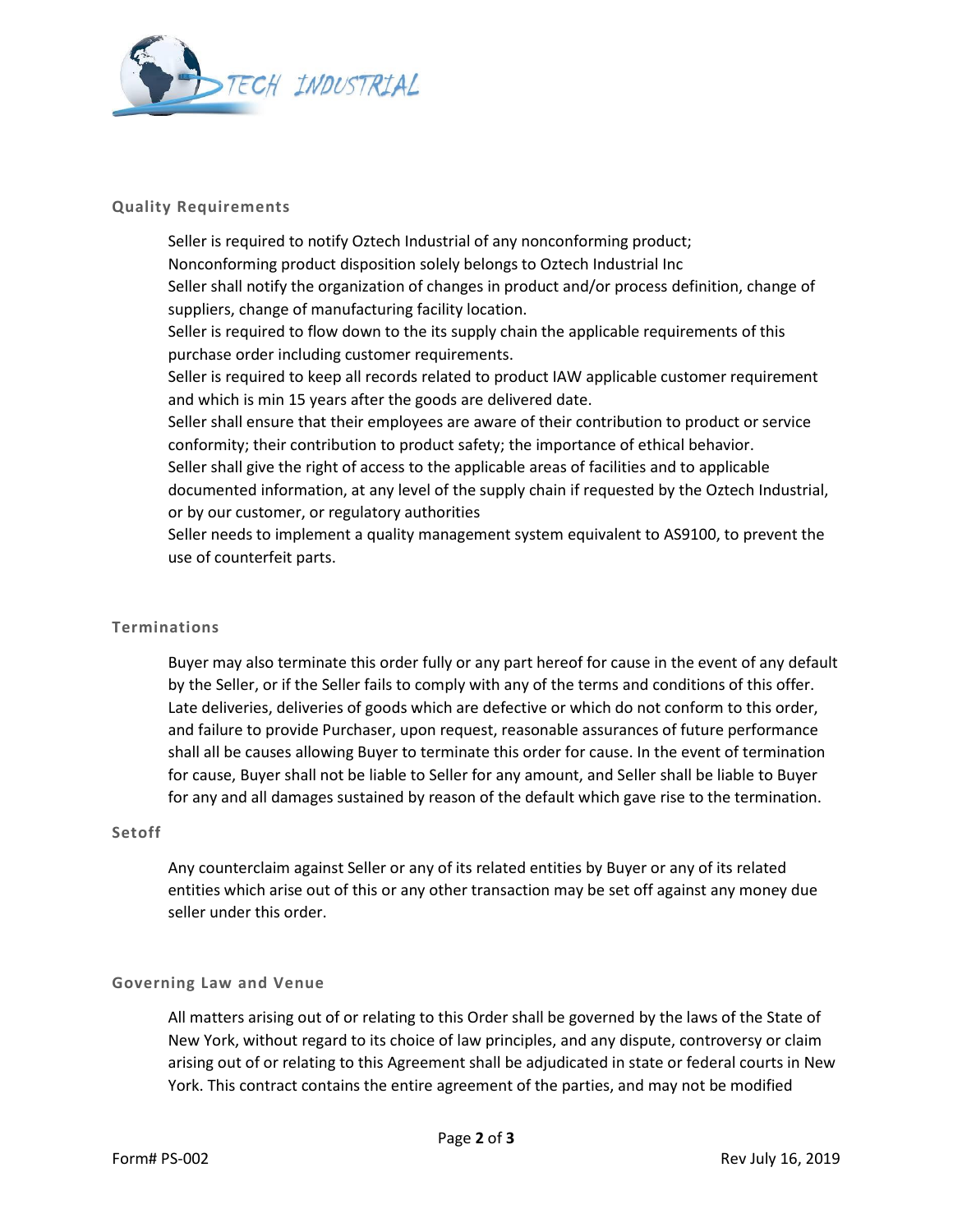

## **Quality Requirements**

Seller is required to notify Oztech Industrial of any nonconforming product; Nonconforming product disposition solely belongs to Oztech Industrial Inc Seller shall notify the organization of changes in product and/or process definition, change of suppliers, change of manufacturing facility location. Seller is required to flow down to the its supply chain the applicable requirements of this purchase order including customer requirements. Seller is required to keep all records related to product IAW applicable customer requirement and which is min 15 years after the goods are delivered date. Seller shall ensure that their employees are aware of their contribution to product or service conformity; their contribution to product safety; the importance of ethical behavior. Seller shall give the right of access to the applicable areas of facilities and to applicable documented information, at any level of the supply chain if requested by the Oztech Industrial, or by our customer, or regulatory authorities Seller needs to implement a quality management system equivalent to AS9100, to prevent the use of counterfeit parts.

### **Terminations**

Buyer may also terminate this order fully or any part hereof for cause in the event of any default by the Seller, or if the Seller fails to comply with any of the terms and conditions of this offer. Late deliveries, deliveries of goods which are defective or which do not conform to this order, and failure to provide Purchaser, upon request, reasonable assurances of future performance shall all be causes allowing Buyer to terminate this order for cause. In the event of termination for cause, Buyer shall not be liable to Seller for any amount, and Seller shall be liable to Buyer for any and all damages sustained by reason of the default which gave rise to the termination.

# **Setoff**

Any counterclaim against Seller or any of its related entities by Buyer or any of its related entities which arise out of this or any other transaction may be set off against any money due seller under this order.

# **Governing Law and Venue**

All matters arising out of or relating to this Order shall be governed by the laws of the State of New York, without regard to its choice of law principles, and any dispute, controversy or claim arising out of or relating to this Agreement shall be adjudicated in state or federal courts in New York. This contract contains the entire agreement of the parties, and may not be modified